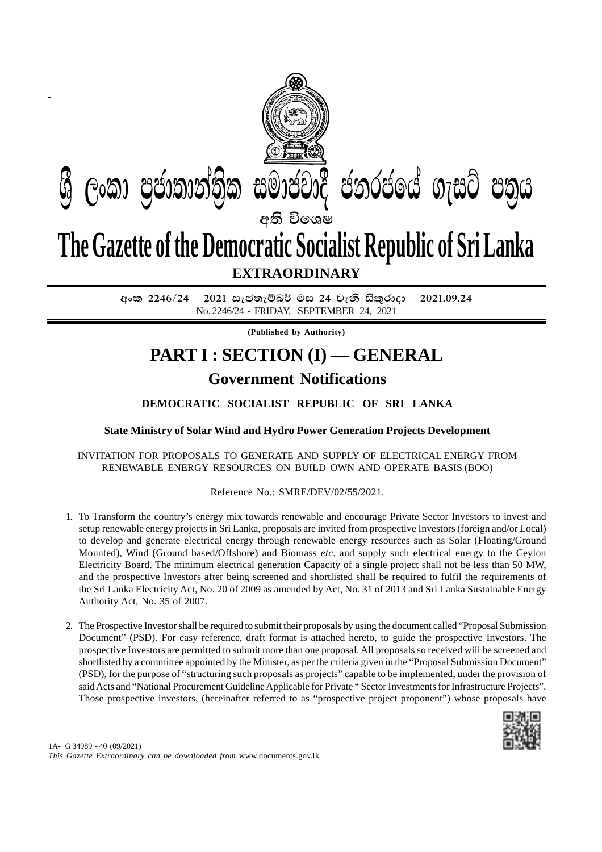

අංක 2246/24 - 2021 සැප්තැම්බර් මස 24 වැනි සිකුරාදා - 2021.09.24 No. 2246/24 - FRIDAY, SEPTEMBER 24, 2021

**(Published by Authority)**

## **Government Notifications PART I : SECTION (I) — GENERAL**

## **DEMOCRATIC SOCIALIST REPUBLIC OF SRI LANKA**

**State Ministry of Solar Wind and Hydro Power Generation Projects Development**

## INVITATION FOR PROPOSALS TO GENERATE AND SUPPLY OF ELECTRICAL ENERGY FROM RENEWABLE ENERGY RESOURCES ON BUILD OWN AND OPERATE BASIS (BOO)

## Reference No.: SMRE/DEV/02/55/2021.

- 1. To Transform the country's energy mix towards renewable and encourage Private Sector Investors to invest and setup renewable energy projects in Sri Lanka, proposals are invited from prospective Investors (foreign and/or Local) to develop and generate electrical energy through renewable energy resources such as Solar (Floating/Ground Mounted), Wind (Ground based/Offshore) and Biomass *etc*. and supply such electrical energy to the Ceylon Electricity Board. The minimum electrical generation Capacity of a single project shall not be less than 50 MW, and the prospective Investors after being screened and shortlisted shall be required to fulfil the requirements of the Sri Lanka Electricity Act, No. 20 of 2009 as amended by Act, No. 31 of 2013 and Sri Lanka Sustainable Energy Authority Act, No. 35 of 2007.
- 2. The Prospective Investor shall be required to submit their proposals by using the document called "Proposal Submission Document" (PSD). For easy reference, draft format is attached hereto, to guide the prospective Investors. The prospective Investors are permitted to submit more than one proposal. All proposals so received will be screened and shortlisted by a committee appointed by the Minister, as per the criteria given in the "Proposal Submission Document" (PSD), for the purpose of "structuring such proposals as projects" capable to be implemented, under the provision of said Acts and "National Procurement Guideline Applicable for Private " Sector Investments for Infrastructure Projects". Those prospective investors, (hereinafter referred to as "prospective project proponent") whose proposals have

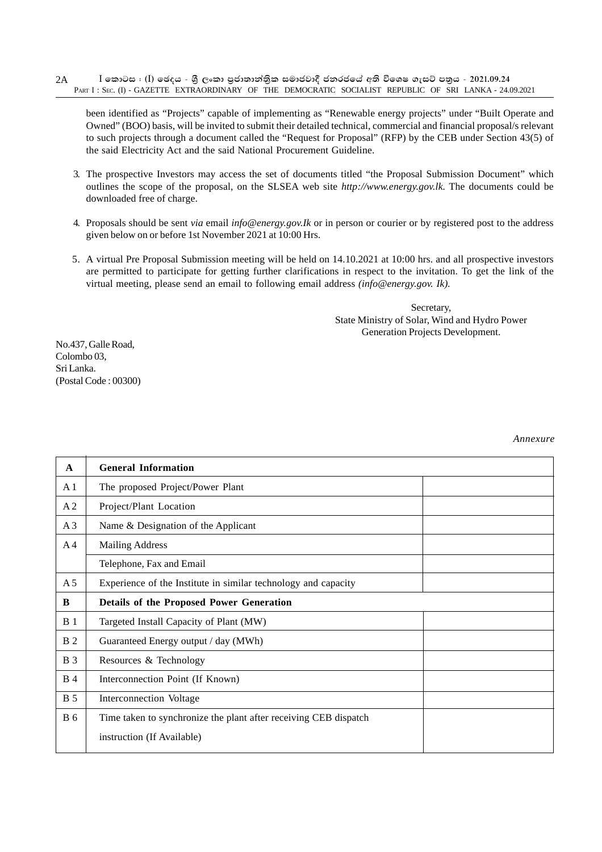$I$  කොටස : (I) ඡෙදය - ශීූ ලංකා පුජාතාන්තික සමාජවාදී ජනරජයේ අති විශෙෂ ගැසට් පතුය - 2021.09.24 PART I : SEC. (I) - GAZETTE EXTRAORDINARY OF THE DEMOCRATIC SOCIALIST REPUBLIC OF SRI LANKA - 24.09.2021 2A

been identified as "Projects" capable of implementing as "Renewable energy projects" under "Built Operate and Owned" (BOO) basis, will be invited to submit their detailed technical, commercial and financial proposal/s relevant to such projects through a document called the "Request for Proposal" (RFP) by the CEB under Section 43(5) of the said Electricity Act and the said National Procurement Guideline.

- 3. The prospective Investors may access the set of documents titled "the Proposal Submission Document" which outlines the scope of the proposal, on the SLSEA web site *http://www.energy.gov.lk.* The documents could be downloaded free of charge.
- 4. Proposals should be sent *via* email *info@energy.gov.Ik* or in person or courier or by registered post to the address given below on or before 1st November 2021 at 10:00 Hrs.
- 5. A virtual Pre Proposal Submission meeting will be held on 14.10.2021 at 10:00 hrs. and all prospective investors are permitted to participate for getting further clarifications in respect to the invitation. To get the link of the virtual meeting, please send an email to following email address *(info@energy.gov. Ik).*

Secretary, State Ministry of Solar, Wind and Hydro Power Generation Projects Development.

No.437, Galle Road, Colombo 03, Sri Lanka. (Postal Code : 00300)

| $\mathbf{A}$   | <b>General Information</b>                                       |
|----------------|------------------------------------------------------------------|
| A <sub>1</sub> | The proposed Project/Power Plant                                 |
| A <sub>2</sub> | Project/Plant Location                                           |
| A <sub>3</sub> | Name & Designation of the Applicant                              |
| A <sub>4</sub> | <b>Mailing Address</b>                                           |
|                | Telephone, Fax and Email                                         |
| A <sub>5</sub> | Experience of the Institute in similar technology and capacity   |
| B              | <b>Details of the Proposed Power Generation</b>                  |
| B <sub>1</sub> | Targeted Install Capacity of Plant (MW)                          |
| <b>B</b> 2     | Guaranteed Energy output / day (MWh)                             |
| <b>B</b> 3     | Resources & Technology                                           |
| <b>B</b> 4     | Interconnection Point (If Known)                                 |
| <b>B</b> 5     | Interconnection Voltage                                          |
| <b>B</b> 6     | Time taken to synchronize the plant after receiving CEB dispatch |
|                | instruction (If Available)                                       |

*Annexure*